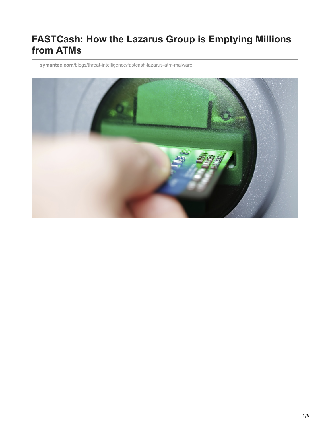### **FASTCash: How the Lazarus Group is Emptying Millions from ATMs**

**symantec.com**[/blogs/threat-intelligence/fastcash-lazarus-atm-malware](https://www.symantec.com/blogs/threat-intelligence/fastcash-lazarus-atm-malware)

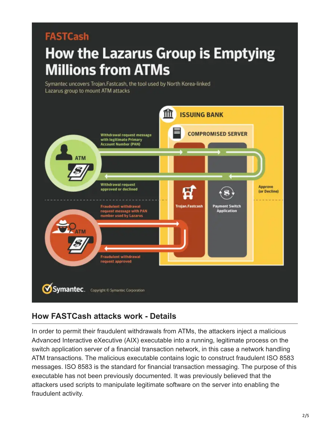## **FASTCash**

# How the Lazarus Group is Emptying **Millions from ATMs**

Symantec uncovers Trojan.Fastcash, the tool used by North Korea-linked Lazarus group to mount ATM attacks



#### **How FASTCash attacks work - Details**

In order to permit their fraudulent withdrawals from ATMs, the attackers inject a malicious Advanced Interactive eXecutive (AIX) executable into a running, legitimate process on the switch application server of a financial transaction network, in this case a network handling ATM transactions. The malicious executable contains logic to construct fraudulent ISO 8583 messages. ISO 8583 is the standard for financial transaction messaging. The purpose of this executable has not been previously documented. It was previously believed that the attackers used scripts to manipulate legitimate software on the server into enabling the fraudulent activity.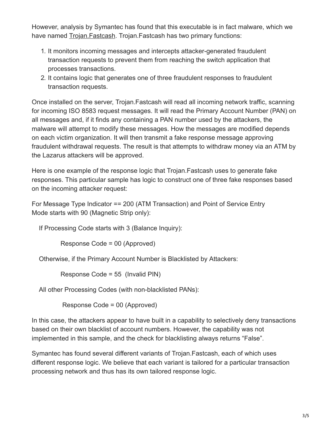However, analysis by Symantec has found that this executable is in fact malware, which we have named [Trojan.Fastcash.](https://www.symantec.com/security-center/writeup/2018-110615-2942-99) Trojan.Fastcash has two primary functions:

- 1. It monitors incoming messages and intercepts attacker-generated fraudulent transaction requests to prevent them from reaching the switch application that processes transactions.
- 2. It contains logic that generates one of three fraudulent responses to fraudulent transaction requests.

Once installed on the server, Trojan.Fastcash will read all incoming network traffic, scanning for incoming ISO 8583 request messages. It will read the Primary Account Number (PAN) on all messages and, if it finds any containing a PAN number used by the attackers, the malware will attempt to modify these messages. How the messages are modified depends on each victim organization. It will then transmit a fake response message approving fraudulent withdrawal requests. The result is that attempts to withdraw money via an ATM by the Lazarus attackers will be approved.

Here is one example of the response logic that Trojan.Fastcash uses to generate fake responses. This particular sample has logic to construct one of three fake responses based on the incoming attacker request:

For Message Type Indicator == 200 (ATM Transaction) and Point of Service Entry Mode starts with 90 (Magnetic Strip only):

If Processing Code starts with 3 (Balance Inquiry):

Response Code = 00 (Approved)

Otherwise, if the Primary Account Number is Blacklisted by Attackers:

Response Code = 55 (Invalid PIN)

All other Processing Codes (with non-blacklisted PANs):

Response Code = 00 (Approved)

In this case, the attackers appear to have built in a capability to selectively deny transactions based on their own blacklist of account numbers. However, the capability was not implemented in this sample, and the check for blacklisting always returns "False".

Symantec has found several different variants of Trojan.Fastcash, each of which uses different response logic. We believe that each variant is tailored for a particular transaction processing network and thus has its own tailored response logic.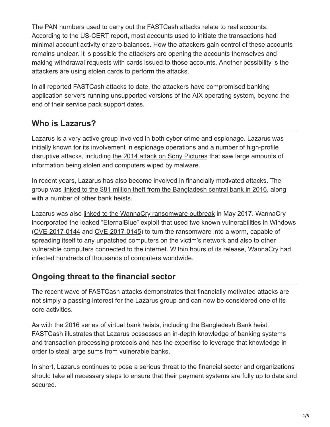The PAN numbers used to carry out the FASTCash attacks relate to real accounts. According to the US-CERT report, most accounts used to initiate the transactions had minimal account activity or zero balances. How the attackers gain control of these accounts remains unclear. It is possible the attackers are opening the accounts themselves and making withdrawal requests with cards issued to those accounts. Another possibility is the attackers are using stolen cards to perform the attacks.

In all reported FASTCash attacks to date, the attackers have compromised banking application servers running unsupported versions of the AIX operating system, beyond the end of their service pack support dates.

#### **Who is Lazarus?**

Lazarus is a very active group involved in both cyber crime and espionage. Lazarus was initially known for its involvement in espionage operations and a number of high-profile disruptive attacks, including [the 2014 attack on Sony Pictures](https://www.fbi.gov/news/pressrel/press-releases/update-on-sony-investigation) that saw large amounts of information being stolen and computers wiped by malware.

In recent years, Lazarus has also become involved in financially motivated attacks. The group was [linked to the \\$81 million theft from the Bangladesh central bank in 2016](https://www.symantec.com/connect/blogs/swift-attackers-malware-linked-more-financial-attacks), along with a number of other bank heists.

Lazarus was also [linked to the WannaCry ransomware outbreak](https://www.symantec.com/connect/blogs/wannacry-ransomware-attacks-show-strong-links-lazarus-group) in May 2017. WannaCry incorporated the leaked "EternalBlue" exploit that used two known vulnerabilities in Windows ([CVE-2017-0144](https://www.symantec.com/security_response/vulnerability.jsp?bid=96704) and [CVE-2017-0145\)](https://www.symantec.com/security_response/vulnerability.jsp?bid=96705) to turn the ransomware into a worm, capable of spreading itself to any unpatched computers on the victim's network and also to other vulnerable computers connected to the internet. Within hours of its release, WannaCry had infected hundreds of thousands of computers worldwide.

#### **Ongoing threat to the financial sector**

The recent wave of FASTCash attacks demonstrates that financially motivated attacks are not simply a passing interest for the Lazarus group and can now be considered one of its core activities.

As with the 2016 series of virtual bank heists, including the Bangladesh Bank heist, FASTCash illustrates that Lazarus possesses an in-depth knowledge of banking systems and transaction processing protocols and has the expertise to leverage that knowledge in order to steal large sums from vulnerable banks.

In short, Lazarus continues to pose a serious threat to the financial sector and organizations should take all necessary steps to ensure that their payment systems are fully up to date and secured.